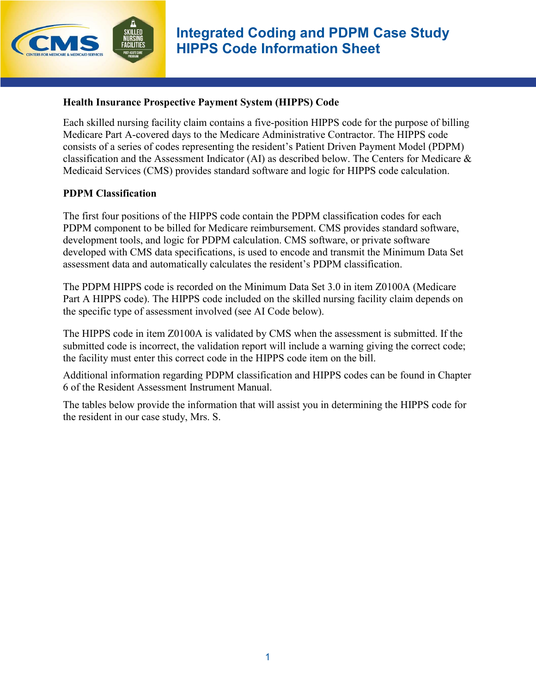

### **Health Insurance Prospective Payment System (HIPPS) Code**

Each skilled nursing facility claim contains a five-position HIPPS code for the purpose of billing Medicare Part A-covered days to the Medicare Administrative Contractor. The HIPPS code consists of a series of codes representing the resident's Patient Driven Payment Model (PDPM) classification and the Assessment Indicator (AI) as described below. The Centers for Medicare & Medicaid Services (CMS) provides standard software and logic for HIPPS code calculation.

#### **PDPM Classification**

The first four positions of the HIPPS code contain the PDPM classification codes for each PDPM component to be billed for Medicare reimbursement. CMS provides standard software, development tools, and logic for PDPM calculation. CMS software, or private software developed with CMS data specifications, is used to encode and transmit the Minimum Data Set assessment data and automatically calculates the resident's PDPM classification.

The PDPM HIPPS code is recorded on the Minimum Data Set 3.0 in item Z0100A (Medicare Part A HIPPS code). The HIPPS code included on the skilled nursing facility claim depends on the specific type of assessment involved (see AI Code below).

The HIPPS code in item Z0100A is validated by CMS when the assessment is submitted. If the submitted code is incorrect, the validation report will include a warning giving the correct code; the facility must enter this correct code in the HIPPS code item on the bill.

Additional information regarding PDPM classification and HIPPS codes can be found in Chapter 6 of the Resident Assessment Instrument Manual.

The tables below provide the information that will assist you in determining the HIPPS code for the resident in our case study, Mrs. S.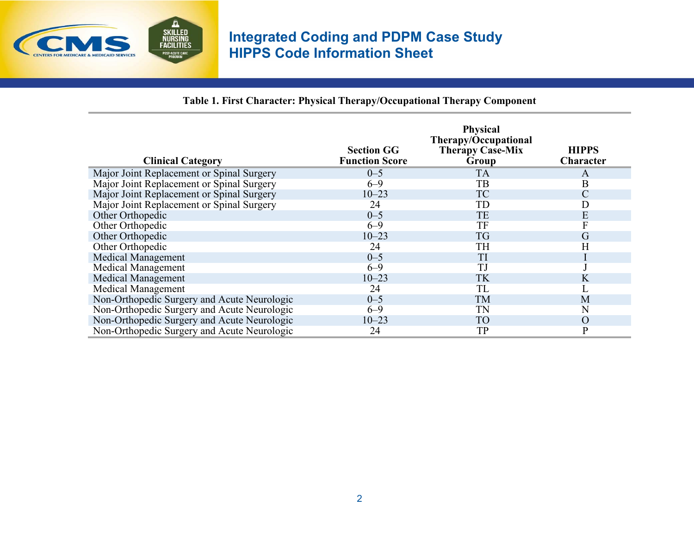

**Table 1. First Character: Physical Therapy/Occupational Therapy Component**

| <b>Clinical Category</b>                    | <b>Section GG</b><br><b>Function Score</b> | <b>Physical</b><br>Therapy/Occupational<br><b>Therapy Case-Mix</b><br>Group | <b>HIPPS</b><br>Character |
|---------------------------------------------|--------------------------------------------|-----------------------------------------------------------------------------|---------------------------|
| Major Joint Replacement or Spinal Surgery   | $0 - 5$                                    | <b>TA</b>                                                                   | A                         |
| Major Joint Replacement or Spinal Surgery   | $6 - 9$                                    | TB                                                                          | B                         |
| Major Joint Replacement or Spinal Surgery   | $10 - 23$                                  | <b>TC</b>                                                                   | $\mathcal{C}$             |
| Major Joint Replacement or Spinal Surgery   | 24                                         | TD                                                                          | D                         |
| Other Orthopedic                            | $0 - 5$                                    | TE                                                                          | E                         |
| Other Orthopedic                            | $6 - 9$                                    | TF                                                                          | $\overline{\mathrm{F}}$   |
| Other Orthopedic                            | $10 - 23$                                  | TG                                                                          | G                         |
| Other Orthopedic                            | 24                                         | TΗ                                                                          | Η                         |
| <b>Medical Management</b>                   | $0 - 5$                                    | TI                                                                          |                           |
| <b>Medical Management</b>                   | $6 - 9$                                    | TJ                                                                          |                           |
| <b>Medical Management</b>                   | $10 - 23$                                  | TK                                                                          | K                         |
| <b>Medical Management</b>                   | 24                                         | TL                                                                          |                           |
| Non-Orthopedic Surgery and Acute Neurologic | $0 - 5$                                    | TM                                                                          | M                         |
| Non-Orthopedic Surgery and Acute Neurologic | $6 - 9$                                    | TN                                                                          | N                         |
| Non-Orthopedic Surgery and Acute Neurologic | $10 - 23$                                  | <b>TO</b>                                                                   | $\Omega$                  |
| Non-Orthopedic Surgery and Acute Neurologic | 24                                         | TP                                                                          | $\mathbf{P}$              |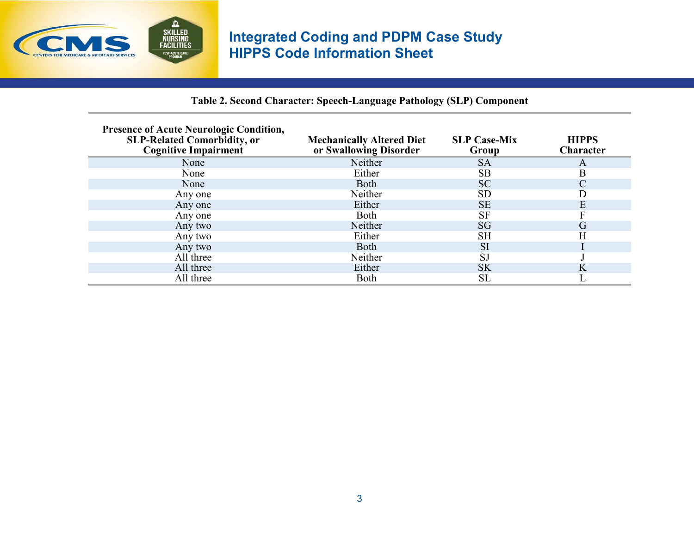

## **Table 2. Second Character: Speech-Language Pathology (SLP) Component**

| <b>Presence of Acute Neurologic Condition,</b><br><b>SLP-Related Comorbidity, or</b><br><b>Cognitive Impairment</b> | <b>Mechanically Altered Diet</b><br>or Swallowing Disorder | <b>SLP Case-Mix</b><br>Group | <b>HIPPS</b><br>Character |
|---------------------------------------------------------------------------------------------------------------------|------------------------------------------------------------|------------------------------|---------------------------|
| None                                                                                                                | Neither                                                    | <b>SA</b>                    | A                         |
| None                                                                                                                | Either                                                     | <b>SB</b>                    | B                         |
| None                                                                                                                | <b>Both</b>                                                | <b>SC</b>                    | $\mathcal{C}_{0}^{0}$     |
| Any one                                                                                                             | Neither                                                    | SD                           |                           |
| Any one                                                                                                             | Either                                                     | <b>SE</b>                    | Ε                         |
| Any one                                                                                                             | <b>Both</b>                                                | <b>SF</b>                    |                           |
| Any two                                                                                                             | Neither                                                    | SG                           | G                         |
| Any two                                                                                                             | Either                                                     | SН                           | Н                         |
| Any two                                                                                                             | <b>Both</b>                                                | <b>SI</b>                    |                           |
| All three                                                                                                           | Neither                                                    | <b>SJ</b>                    |                           |
| All three                                                                                                           | Either                                                     | <b>SK</b>                    | K                         |
| All three                                                                                                           | Both                                                       | <b>SL</b>                    |                           |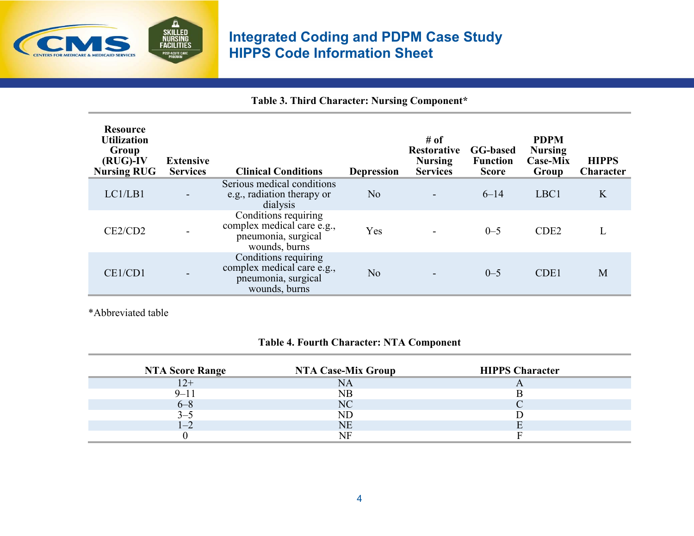

**Table 3. Third Character: Nursing Component\*** 

| <b>Resource</b><br><b>Utilization</b><br>Group<br>$(RUG)$ -IV<br><b>Nursing RUG</b> | <b>Extensive</b><br><b>Services</b> | <b>Clinical Conditions</b>                                                                 | <b>Depression</b> | # of<br><b>Restorative</b><br><b>Nursing</b><br><b>Services</b> | <b>GG-based</b><br><b>Function</b><br><b>Score</b> | <b>PDPM</b><br><b>Nursing</b><br><b>Case-Mix</b><br>Group | <b>HIPPS</b><br>Character |
|-------------------------------------------------------------------------------------|-------------------------------------|--------------------------------------------------------------------------------------------|-------------------|-----------------------------------------------------------------|----------------------------------------------------|-----------------------------------------------------------|---------------------------|
| LC1/LB1                                                                             |                                     | Serious medical conditions<br>e.g., radiation therapy or<br>dialysis                       | N <sub>o</sub>    |                                                                 | $6 - 14$                                           | LBC1                                                      | K                         |
| CE2/CD2                                                                             |                                     | Conditions requiring<br>complex medical care e.g.,<br>pneumonia, surgical<br>wounds, burns | Yes               |                                                                 | $0 - 5$                                            | CDE <sub>2</sub>                                          |                           |
| CE1/CD1                                                                             |                                     | Conditions requiring<br>complex medical care e.g.,<br>pneumonia, surgical<br>wounds, burns | N <sub>o</sub>    |                                                                 | $0 - 5$                                            | CDE1                                                      | M                         |

\*Abbreviated table

## **Table 4. Fourth Character: NTA Component**

| <b>NTA Score Range</b> | <b>NTA Case-Mix Group</b> | <b>HIPPS Character</b> |
|------------------------|---------------------------|------------------------|
| $12+$                  |                           |                        |
| $9 - 11$               | NB                        |                        |
| $6 - 8$                | NC                        |                        |
| $-3-5$                 | ND                        |                        |
|                        | NE                        |                        |
|                        |                           |                        |